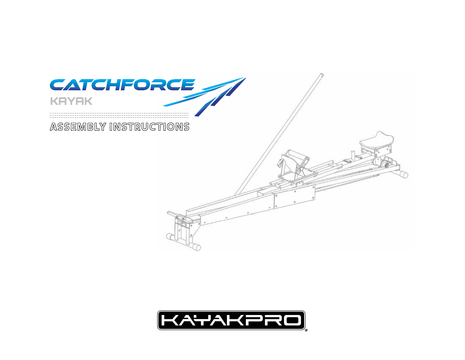

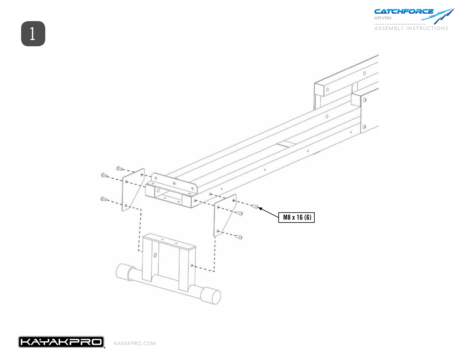



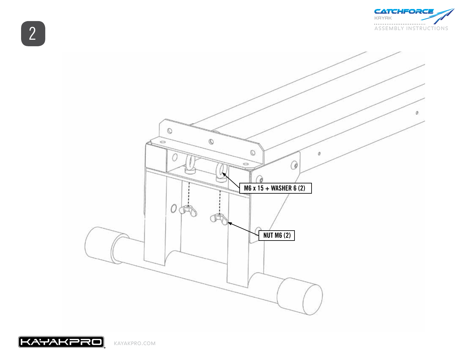



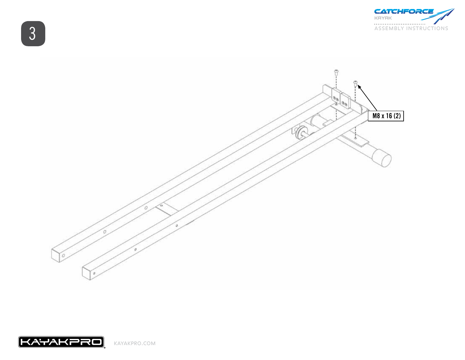





3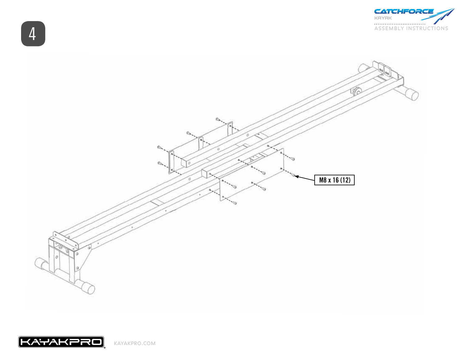





4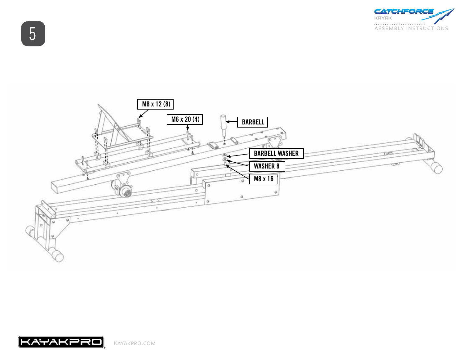





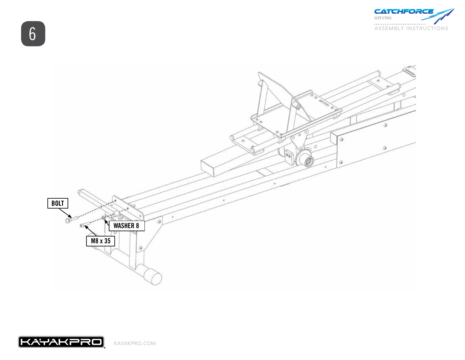



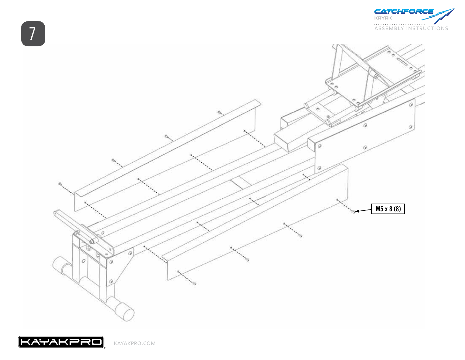





kayakpro.com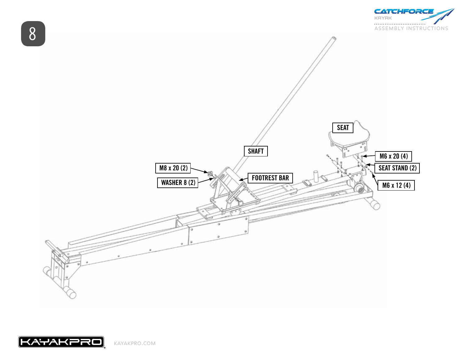



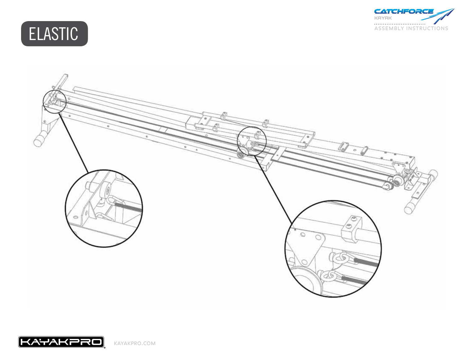





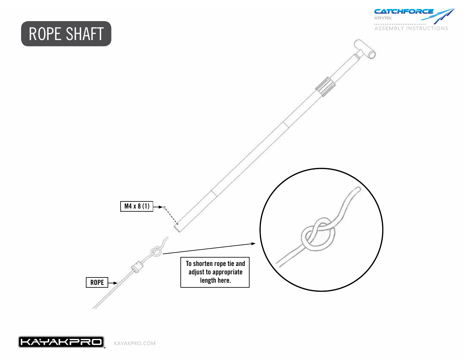## ROPE SHAFT